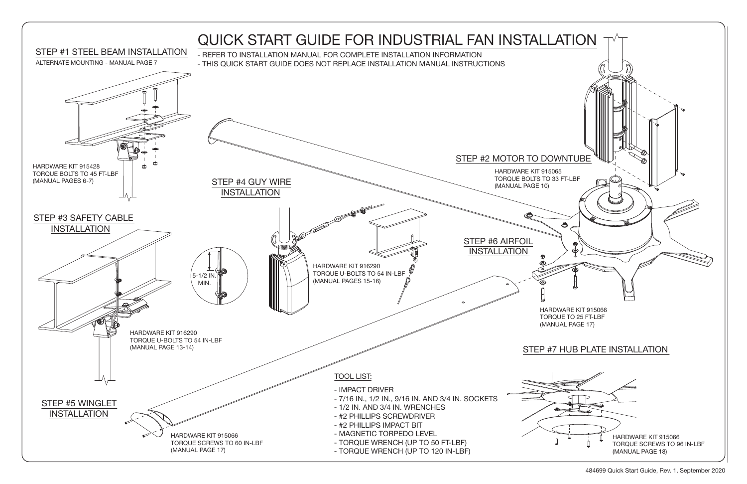